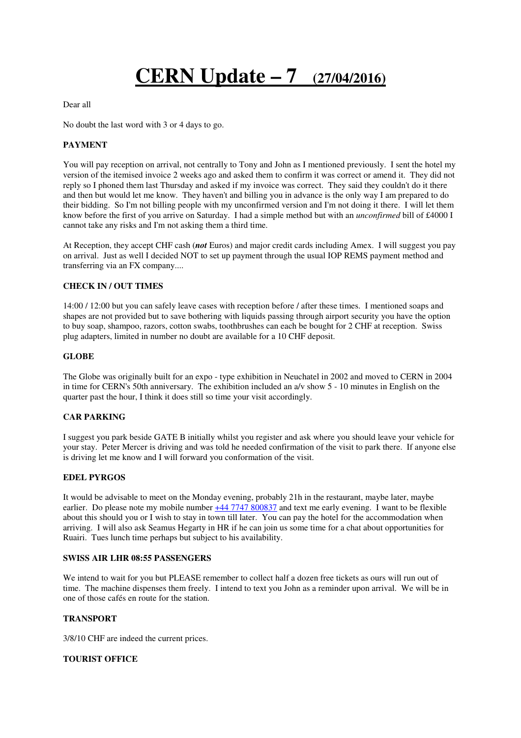# **CERN Update – 7 (27/04/2016)**

Dear all

No doubt the last word with 3 or 4 days to go.

## **PAYMENT**

You will pay reception on arrival, not centrally to Tony and John as I mentioned previously. I sent the hotel my version of the itemised invoice 2 weeks ago and asked them to confirm it was correct or amend it. They did not reply so I phoned them last Thursday and asked if my invoice was correct. They said they couldn't do it there and then but would let me know. They haven't and billing you in advance is the only way I am prepared to do their bidding. So I'm not billing people with my unconfirmed version and I'm not doing it there. I will let them know before the first of you arrive on Saturday. I had a simple method but with an *unconfirmed* bill of £4000 I cannot take any risks and I'm not asking them a third time.

At Reception, they accept CHF cash (*not* Euros) and major credit cards including Amex. I will suggest you pay on arrival. Just as well I decided NOT to set up payment through the usual IOP REMS payment method and transferring via an FX company....

#### **CHECK IN / OUT TIMES**

14:00 / 12:00 but you can safely leave cases with reception before / after these times. I mentioned soaps and shapes are not provided but to save bothering with liquids passing through airport security you have the option to buy soap, shampoo, razors, cotton swabs, toothbrushes can each be bought for 2 CHF at reception. Swiss plug adapters, limited in number no doubt are available for a 10 CHF deposit.

#### **GLOBE**

The Globe was originally built for an expo - type exhibition in Neuchatel in 2002 and moved to CERN in 2004 in time for CERN's 50th anniversary. The exhibition included an a/v show 5 - 10 minutes in English on the quarter past the hour, I think it does still so time your visit accordingly.

## **CAR PARKING**

I suggest you park beside GATE B initially whilst you register and ask where you should leave your vehicle for your stay. Peter Mercer is driving and was told he needed confirmation of the visit to park there. If anyone else is driving let me know and I will forward you conformation of the visit.

## **EDEL PYRGOS**

It would be advisable to meet on the Monday evening, probably 21h in the restaurant, maybe later, maybe earlier. Do please note my mobile number  $\frac{+44\,7747\,800837}{+200837}$  and text me early evening. I want to be flexible about this should you or I wish to stay in town till later. You can pay the hotel for the accommodation when arriving. I will also ask Seamus Hegarty in HR if he can join us some time for a chat about opportunities for Ruairi. Tues lunch time perhaps but subject to his availability.

#### **SWISS AIR LHR 08:55 PASSENGERS**

We intend to wait for you but PLEASE remember to collect half a dozen free tickets as ours will run out of time. The machine dispenses them freely. I intend to text you John as a reminder upon arrival. We will be in one of those cafés en route for the station.

# **TRANSPORT**

3/8/10 CHF are indeed the current prices.

## **TOURIST OFFICE**